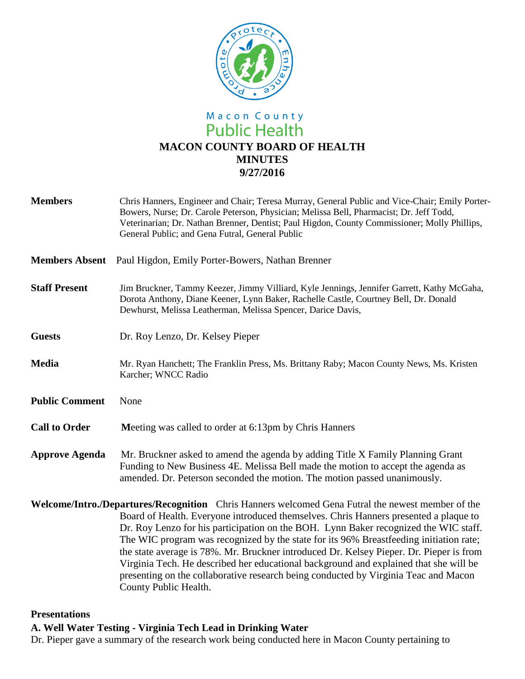

# Macon County **Public Health MACON COUNTY BOARD OF HEALTH MINUTES 9/27/2016**

| <b>Members</b>        | Chris Hanners, Engineer and Chair; Teresa Murray, General Public and Vice-Chair; Emily Porter-<br>Bowers, Nurse; Dr. Carole Peterson, Physician; Melissa Bell, Pharmacist; Dr. Jeff Todd,<br>Veterinarian; Dr. Nathan Brenner, Dentist; Paul Higdon, County Commissioner; Molly Phillips,<br>General Public; and Gena Futral, General Public |
|-----------------------|----------------------------------------------------------------------------------------------------------------------------------------------------------------------------------------------------------------------------------------------------------------------------------------------------------------------------------------------|
|                       | <b>Members Absent</b> Paul Higdon, Emily Porter-Bowers, Nathan Brenner                                                                                                                                                                                                                                                                       |
| <b>Staff Present</b>  | Jim Bruckner, Tammy Keezer, Jimmy Villiard, Kyle Jennings, Jennifer Garrett, Kathy McGaha,<br>Dorota Anthony, Diane Keener, Lynn Baker, Rachelle Castle, Courtney Bell, Dr. Donald<br>Dewhurst, Melissa Leatherman, Melissa Spencer, Darice Davis,                                                                                           |
| <b>Guests</b>         | Dr. Roy Lenzo, Dr. Kelsey Pieper                                                                                                                                                                                                                                                                                                             |
| <b>Media</b>          | Mr. Ryan Hanchett; The Franklin Press, Ms. Brittany Raby; Macon County News, Ms. Kristen<br>Karcher; WNCC Radio                                                                                                                                                                                                                              |
| <b>Public Comment</b> | None                                                                                                                                                                                                                                                                                                                                         |
| <b>Call to Order</b>  | Meeting was called to order at 6:13pm by Chris Hanners                                                                                                                                                                                                                                                                                       |
| <b>Approve Agenda</b> | Mr. Bruckner asked to amend the agenda by adding Title X Family Planning Grant<br>Funding to New Business 4E. Melissa Bell made the motion to accept the agenda as<br>amended. Dr. Peterson seconded the motion. The motion passed unanimously.                                                                                              |
|                       | Welcome/Intro./Departures/Recognition Chris Hanners welcomed Gena Futral the newest member of the                                                                                                                                                                                                                                            |
|                       | Board of Health. Everyone introduced themselves. Chris Hanners presented a plaque to<br>Dr. Roy Lenzo for his participation on the BOH. Lynn Baker recognized the WIC staff.                                                                                                                                                                 |

The WIC program was recognized by the state for its 96% Breastfeeding initiation rate; the state average is 78%. Mr. Bruckner introduced Dr. Kelsey Pieper. Dr. Pieper is from Virginia Tech. He described her educational background and explained that she will be presenting on the collaborative research being conducted by Virginia Teac and Macon County Public Health.

#### **Presentations**

#### **A. Well Water Testing - Virginia Tech Lead in Drinking Water**

Dr. Pieper gave a summary of the research work being conducted here in Macon County pertaining to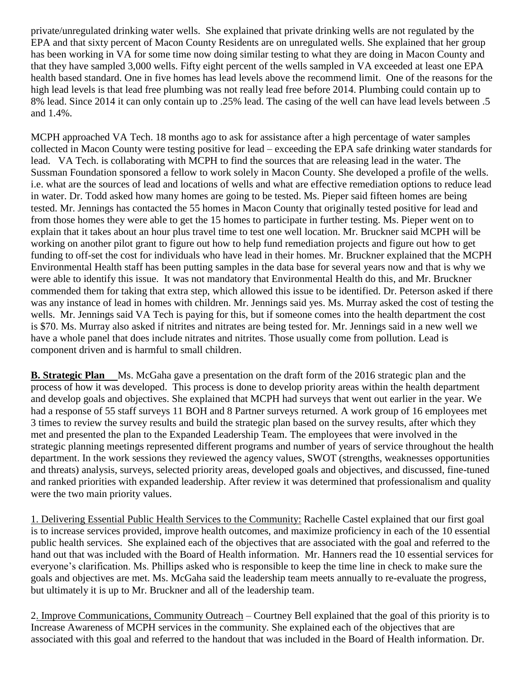private/unregulated drinking water wells. She explained that private drinking wells are not regulated by the EPA and that sixty percent of Macon County Residents are on unregulated wells. She explained that her group has been working in VA for some time now doing similar testing to what they are doing in Macon County and that they have sampled 3,000 wells. Fifty eight percent of the wells sampled in VA exceeded at least one EPA health based standard. One in five homes has lead levels above the recommend limit. One of the reasons for the high lead levels is that lead free plumbing was not really lead free before 2014. Plumbing could contain up to 8% lead. Since 2014 it can only contain up to .25% lead. The casing of the well can have lead levels between .5 and 1.4%.

MCPH approached VA Tech. 18 months ago to ask for assistance after a high percentage of water samples collected in Macon County were testing positive for lead – exceeding the EPA safe drinking water standards for lead. VA Tech. is collaborating with MCPH to find the sources that are releasing lead in the water. The Sussman Foundation sponsored a fellow to work solely in Macon County. She developed a profile of the wells. i.e. what are the sources of lead and locations of wells and what are effective remediation options to reduce lead in water. Dr. Todd asked how many homes are going to be tested. Ms. Pieper said fifteen homes are being tested. Mr. Jennings has contacted the 55 homes in Macon County that originally tested positive for lead and from those homes they were able to get the 15 homes to participate in further testing. Ms. Pieper went on to explain that it takes about an hour plus travel time to test one well location. Mr. Bruckner said MCPH will be working on another pilot grant to figure out how to help fund remediation projects and figure out how to get funding to off-set the cost for individuals who have lead in their homes. Mr. Bruckner explained that the MCPH Environmental Health staff has been putting samples in the data base for several years now and that is why we were able to identify this issue. It was not mandatory that Environmental Health do this, and Mr. Bruckner commended them for taking that extra step, which allowed this issue to be identified. Dr. Peterson asked if there was any instance of lead in homes with children. Mr. Jennings said yes. Ms. Murray asked the cost of testing the wells. Mr. Jennings said VA Tech is paying for this, but if someone comes into the health department the cost is \$70. Ms. Murray also asked if nitrites and nitrates are being tested for. Mr. Jennings said in a new well we have a whole panel that does include nitrates and nitrites. Those usually come from pollution. Lead is component driven and is harmful to small children.

**B. Strategic Plan** Ms. McGaha gave a presentation on the draft form of the 2016 strategic plan and the process of how it was developed. This process is done to develop priority areas within the health department and develop goals and objectives. She explained that MCPH had surveys that went out earlier in the year. We had a response of 55 staff surveys 11 BOH and 8 Partner surveys returned. A work group of 16 employees met 3 times to review the survey results and build the strategic plan based on the survey results, after which they met and presented the plan to the Expanded Leadership Team. The employees that were involved in the strategic planning meetings represented different programs and number of years of service throughout the health department. In the work sessions they reviewed the agency values, SWOT (strengths, weaknesses opportunities and threats) analysis, surveys, selected priority areas, developed goals and objectives, and discussed, fine-tuned and ranked priorities with expanded leadership. After review it was determined that professionalism and quality were the two main priority values.

1. Delivering Essential Public Health Services to the Community: Rachelle Castel explained that our first goal is to increase services provided, improve health outcomes, and maximize proficiency in each of the 10 essential public health services. She explained each of the objectives that are associated with the goal and referred to the hand out that was included with the Board of Health information. Mr. Hanners read the 10 essential services for everyone's clarification. Ms. Phillips asked who is responsible to keep the time line in check to make sure the goals and objectives are met. Ms. McGaha said the leadership team meets annually to re-evaluate the progress, but ultimately it is up to Mr. Bruckner and all of the leadership team.

2. Improve Communications, Community Outreach – Courtney Bell explained that the goal of this priority is to Increase Awareness of MCPH services in the community. She explained each of the objectives that are associated with this goal and referred to the handout that was included in the Board of Health information. Dr.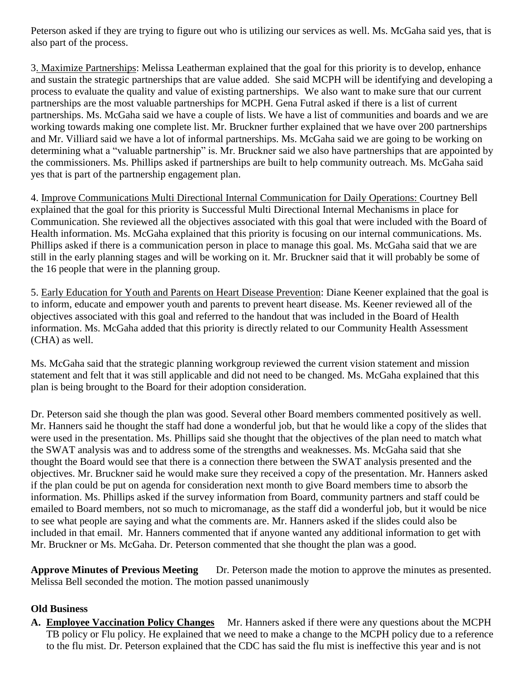Peterson asked if they are trying to figure out who is utilizing our services as well. Ms. McGaha said yes, that is also part of the process.

3. Maximize Partnerships: Melissa Leatherman explained that the goal for this priority is to develop, enhance and sustain the strategic partnerships that are value added. She said MCPH will be identifying and developing a process to evaluate the quality and value of existing partnerships. We also want to make sure that our current partnerships are the most valuable partnerships for MCPH. Gena Futral asked if there is a list of current partnerships. Ms. McGaha said we have a couple of lists. We have a list of communities and boards and we are working towards making one complete list. Mr. Bruckner further explained that we have over 200 partnerships and Mr. Villiard said we have a lot of informal partnerships. Ms. McGaha said we are going to be working on determining what a "valuable partnership" is. Mr. Bruckner said we also have partnerships that are appointed by the commissioners. Ms. Phillips asked if partnerships are built to help community outreach. Ms. McGaha said yes that is part of the partnership engagement plan.

4. Improve Communications Multi Directional Internal Communication for Daily Operations: Courtney Bell explained that the goal for this priority is Successful Multi Directional Internal Mechanisms in place for Communication. She reviewed all the objectives associated with this goal that were included with the Board of Health information. Ms. McGaha explained that this priority is focusing on our internal communications. Ms. Phillips asked if there is a communication person in place to manage this goal. Ms. McGaha said that we are still in the early planning stages and will be working on it. Mr. Bruckner said that it will probably be some of the 16 people that were in the planning group.

5. Early Education for Youth and Parents on Heart Disease Prevention: Diane Keener explained that the goal is to inform, educate and empower youth and parents to prevent heart disease. Ms. Keener reviewed all of the objectives associated with this goal and referred to the handout that was included in the Board of Health information. Ms. McGaha added that this priority is directly related to our Community Health Assessment (CHA) as well.

Ms. McGaha said that the strategic planning workgroup reviewed the current vision statement and mission statement and felt that it was still applicable and did not need to be changed. Ms. McGaha explained that this plan is being brought to the Board for their adoption consideration.

Dr. Peterson said she though the plan was good. Several other Board members commented positively as well. Mr. Hanners said he thought the staff had done a wonderful job, but that he would like a copy of the slides that were used in the presentation. Ms. Phillips said she thought that the objectives of the plan need to match what the SWAT analysis was and to address some of the strengths and weaknesses. Ms. McGaha said that she thought the Board would see that there is a connection there between the SWAT analysis presented and the objectives. Mr. Bruckner said he would make sure they received a copy of the presentation. Mr. Hanners asked if the plan could be put on agenda for consideration next month to give Board members time to absorb the information. Ms. Phillips asked if the survey information from Board, community partners and staff could be emailed to Board members, not so much to micromanage, as the staff did a wonderful job, but it would be nice to see what people are saying and what the comments are. Mr. Hanners asked if the slides could also be included in that email. Mr. Hanners commented that if anyone wanted any additional information to get with Mr. Bruckner or Ms. McGaha. Dr. Peterson commented that she thought the plan was a good.

**Approve Minutes of Previous Meeting** Dr. Peterson made the motion to approve the minutes as presented. Melissa Bell seconded the motion. The motion passed unanimously

## **Old Business**

**A. Employee Vaccination Policy Changes** Mr. Hanners asked if there were any questions about the MCPH TB policy or Flu policy. He explained that we need to make a change to the MCPH policy due to a reference to the flu mist. Dr. Peterson explained that the CDC has said the flu mist is ineffective this year and is not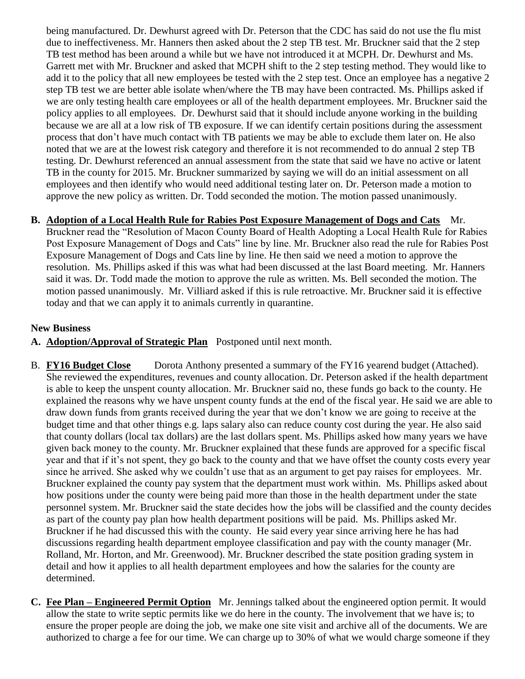being manufactured. Dr. Dewhurst agreed with Dr. Peterson that the CDC has said do not use the flu mist due to ineffectiveness. Mr. Hanners then asked about the 2 step TB test. Mr. Bruckner said that the 2 step TB test method has been around a while but we have not introduced it at MCPH. Dr. Dewhurst and Ms. Garrett met with Mr. Bruckner and asked that MCPH shift to the 2 step testing method. They would like to add it to the policy that all new employees be tested with the 2 step test. Once an employee has a negative 2 step TB test we are better able isolate when/where the TB may have been contracted. Ms. Phillips asked if we are only testing health care employees or all of the health department employees. Mr. Bruckner said the policy applies to all employees. Dr. Dewhurst said that it should include anyone working in the building because we are all at a low risk of TB exposure. If we can identify certain positions during the assessment process that don't have much contact with TB patients we may be able to exclude them later on. He also noted that we are at the lowest risk category and therefore it is not recommended to do annual 2 step TB testing. Dr. Dewhurst referenced an annual assessment from the state that said we have no active or latent TB in the county for 2015. Mr. Bruckner summarized by saying we will do an initial assessment on all employees and then identify who would need additional testing later on. Dr. Peterson made a motion to approve the new policy as written. Dr. Todd seconded the motion. The motion passed unanimously.

## **B. Adoption of a Local Health Rule for Rabies Post Exposure Management of Dogs and Cats** Mr.

Bruckner read the "Resolution of Macon County Board of Health Adopting a Local Health Rule for Rabies Post Exposure Management of Dogs and Cats" line by line. Mr. Bruckner also read the rule for Rabies Post Exposure Management of Dogs and Cats line by line. He then said we need a motion to approve the resolution. Ms. Phillips asked if this was what had been discussed at the last Board meeting. Mr. Hanners said it was. Dr. Todd made the motion to approve the rule as written. Ms. Bell seconded the motion. The motion passed unanimously. Mr. Villiard asked if this is rule retroactive. Mr. Bruckner said it is effective today and that we can apply it to animals currently in quarantine.

#### **New Business**

- **A. Adoption/Approval of Strategic Plan** Postponed until next month.
- B. **FY16 Budget Close** Dorota Anthony presented a summary of the FY16 yearend budget (Attached). She reviewed the expenditures, revenues and county allocation. Dr. Peterson asked if the health department is able to keep the unspent county allocation. Mr. Bruckner said no, these funds go back to the county. He explained the reasons why we have unspent county funds at the end of the fiscal year. He said we are able to draw down funds from grants received during the year that we don't know we are going to receive at the budget time and that other things e.g. laps salary also can reduce county cost during the year. He also said that county dollars (local tax dollars) are the last dollars spent. Ms. Phillips asked how many years we have given back money to the county. Mr. Bruckner explained that these funds are approved for a specific fiscal year and that if it's not spent, they go back to the county and that we have offset the county costs every year since he arrived. She asked why we couldn't use that as an argument to get pay raises for employees. Mr. Bruckner explained the county pay system that the department must work within. Ms. Phillips asked about how positions under the county were being paid more than those in the health department under the state personnel system. Mr. Bruckner said the state decides how the jobs will be classified and the county decides as part of the county pay plan how health department positions will be paid. Ms. Phillips asked Mr. Bruckner if he had discussed this with the county. He said every year since arriving here he has had discussions regarding health department employee classification and pay with the county manager (Mr. Rolland, Mr. Horton, and Mr. Greenwood). Mr. Bruckner described the state position grading system in detail and how it applies to all health department employees and how the salaries for the county are determined.
- **C. Fee Plan – Engineered Permit Option** Mr. Jennings talked about the engineered option permit. It would allow the state to write septic permits like we do here in the county. The involvement that we have is; to ensure the proper people are doing the job, we make one site visit and archive all of the documents. We are authorized to charge a fee for our time. We can charge up to 30% of what we would charge someone if they